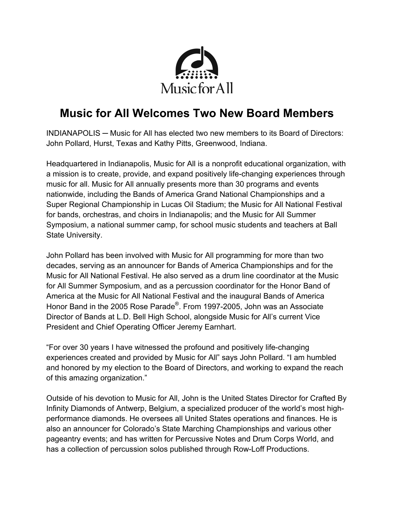

## **Music for All Welcomes Two New Board Members**

INDIANAPOLIS ─ Music for All has elected two new members to its Board of Directors: John Pollard, Hurst, Texas and Kathy Pitts, Greenwood, Indiana.

Headquartered in Indianapolis, Music for All is a nonprofit educational organization, with a mission is to create, provide, and expand positively life-changing experiences through music for all. Music for All annually presents more than 30 programs and events nationwide, including the Bands of America Grand National Championships and a Super Regional Championship in Lucas Oil Stadium; the Music for All National Festival for bands, orchestras, and choirs in Indianapolis; and the Music for All Summer Symposium, a national summer camp, for school music students and teachers at Ball State University.

John Pollard has been involved with Music for All programming for more than two decades, serving as an announcer for Bands of America Championships and for the Music for All National Festival. He also served as a drum line coordinator at the Music for All Summer Symposium, and as a percussion coordinator for the Honor Band of America at the Music for All National Festival and the inaugural Bands of America Honor Band in the 2005 Rose Parade®. From 1997-2005, John was an Associate Director of Bands at L.D. Bell High School, alongside Music for All's current Vice President and Chief Operating Officer Jeremy Earnhart.

"For over 30 years I have witnessed the profound and positively life-changing experiences created and provided by Music for All" says John Pollard. "I am humbled and honored by my election to the Board of Directors, and working to expand the reach of this amazing organization."

Outside of his devotion to Music for All, John is the United States Director for Crafted By Infinity Diamonds of Antwerp, Belgium, a specialized producer of the world's most highperformance diamonds. He oversees all United States operations and finances. He is also an announcer for Colorado's State Marching Championships and various other pageantry events; and has written for Percussive Notes and Drum Corps World, and has a collection of percussion solos published through Row-Loff Productions.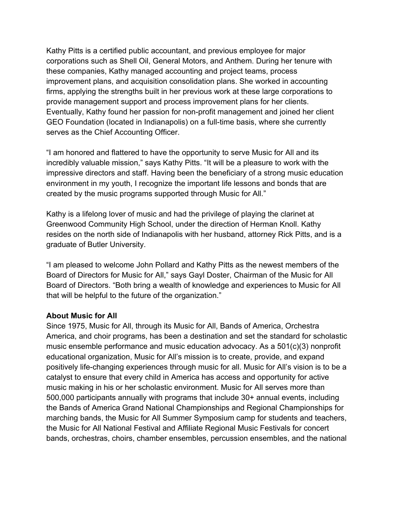Kathy Pitts is a certified public accountant, and previous employee for major corporations such as Shell Oil, General Motors, and Anthem. During her tenure with these companies, Kathy managed accounting and project teams, process improvement plans, and acquisition consolidation plans. She worked in accounting firms, applying the strengths built in her previous work at these large corporations to provide management support and process improvement plans for her clients. Eventually, Kathy found her passion for non-profit management and joined her client GEO Foundation (located in Indianapolis) on a full-time basis, where she currently serves as the Chief Accounting Officer.

"I am honored and flattered to have the opportunity to serve Music for All and its incredibly valuable mission," says Kathy Pitts. "It will be a pleasure to work with the impressive directors and staff. Having been the beneficiary of a strong music education environment in my youth, I recognize the important life lessons and bonds that are created by the music programs supported through Music for All."

Kathy is a lifelong lover of music and had the privilege of playing the clarinet at Greenwood Community High School, under the direction of Herman Knoll. Kathy resides on the north side of Indianapolis with her husband, attorney Rick Pitts, and is a graduate of Butler University.

"I am pleased to welcome John Pollard and Kathy Pitts as the newest members of the Board of Directors for Music for All," says Gayl Doster, Chairman of the Music for All Board of Directors. "Both bring a wealth of knowledge and experiences to Music for All that will be helpful to the future of the organization."

## **About Music for All**

Since 1975, Music for All, through its Music for All, Bands of America, Orchestra America, and choir programs, has been a destination and set the standard for scholastic music ensemble performance and music education advocacy. As a 501(c)(3) nonprofit educational organization, Music for All's mission is to create, provide, and expand positively life-changing experiences through music for all. Music for All's vision is to be a catalyst to ensure that every child in America has access and opportunity for active music making in his or her scholastic environment. Music for All serves more than 500,000 participants annually with programs that include 30+ annual events, including the Bands of America Grand National Championships and Regional Championships for marching bands, the Music for All Summer Symposium camp for students and teachers, the Music for All National Festival and Affiliate Regional Music Festivals for concert bands, orchestras, choirs, chamber ensembles, percussion ensembles, and the national